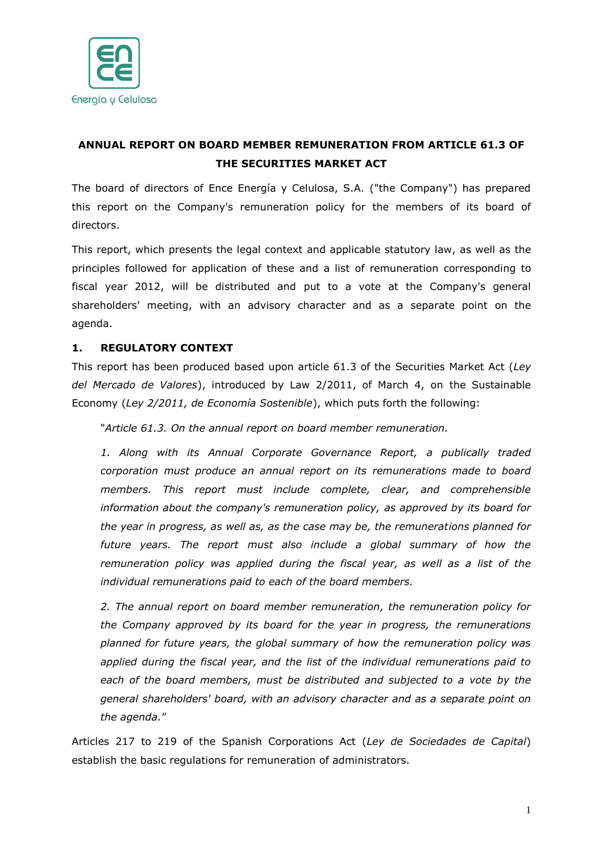

# **ANNUAL REPORT ON BOARD MEMBER REMUNERATION FROM ARTICLE 61.3 OF THE SECURITIES MARKET ACT**

The board of directors of Ence Energía y Celulosa, S.A. ("the Company") has prepared this report on the Company's remuneration policy for the members of its board of directors.

This report, which presents the legal context and applicable statutory law, as well as the principles followed for application of these and a list of remuneration corresponding to fiscal year 2012, will be distributed and put to a vote at the Company's general shareholders' meeting, with an advisory character and as a separate point on the agenda.

# **1. REGULATORY CONTEXT**

This report has been produced based upon article 61.3 of the Securities Market Act (*Ley del Mercado de Valores*), introduced by Law 2/2011, of March 4, on the Sustainable Economy (*Ley 2/2011, de Economía Sostenible*), which puts forth the following:

"*Article 61.3. On the annual report on board member remuneration.*

*1. Along with its Annual Corporate Governance Report, a publically traded corporation must produce an annual report on its remunerations made to board members. This report must include complete, clear, and comprehensible information about the company's remuneration policy, as approved by its board for the year in progress, as well as, as the case may be, the remunerations planned for future years. The report must also include a global summary of how the remuneration policy was applied during the fiscal year, as well as a list of the individual remunerations paid to each of the board members.*

*2. The annual report on board member remuneration, the remuneration policy for the Company approved by its board for the year in progress, the remunerations planned for future years, the global summary of how the remuneration policy was applied during the fiscal year, and the list of the individual remunerations paid to each of the board members, must be distributed and subjected to a vote by the general shareholders' board, with an advisory character and as a separate point on the agenda."*

Articles 217 to 219 of the Spanish Corporations Act (*Ley de Sociedades de Capital*) establish the basic regulations for remuneration of administrators.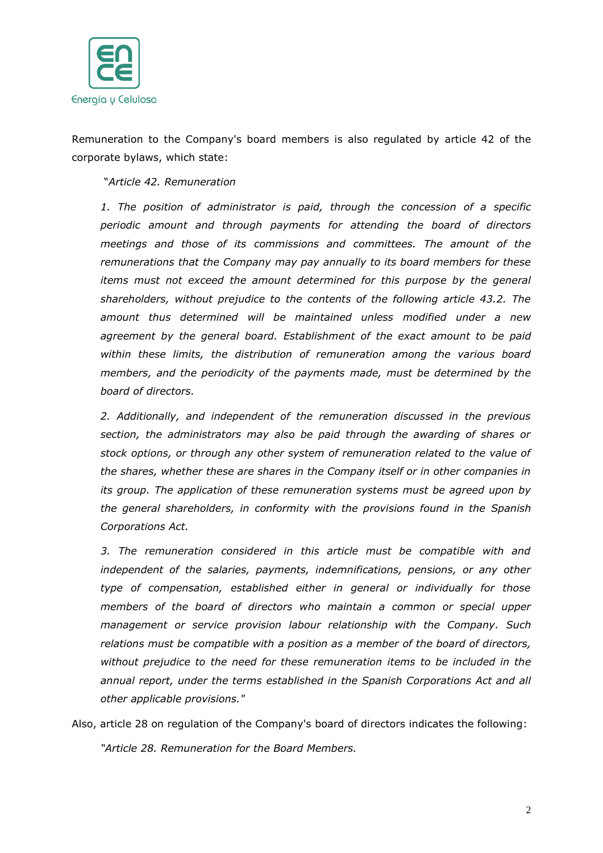

Remuneration to the Company's board members is also regulated by article 42 of the corporate bylaws, which state:

"*Article 42. Remuneration*

*1. The position of administrator is paid, through the concession of a specific periodic amount and through payments for attending the board of directors meetings and those of its commissions and committees. The amount of the remunerations that the Company may pay annually to its board members for these items must not exceed the amount determined for this purpose by the general shareholders, without prejudice to the contents of the following article 43.2. The amount thus determined will be maintained unless modified under a new agreement by the general board. Establishment of the exact amount to be paid within these limits, the distribution of remuneration among the various board members, and the periodicity of the payments made, must be determined by the board of directors.*

*2. Additionally, and independent of the remuneration discussed in the previous section, the administrators may also be paid through the awarding of shares or stock options, or through any other system of remuneration related to the value of the shares, whether these are shares in the Company itself or in other companies in its group. The application of these remuneration systems must be agreed upon by the general shareholders, in conformity with the provisions found in the Spanish Corporations Act.*

*3. The remuneration considered in this article must be compatible with and independent of the salaries, payments, indemnifications, pensions, or any other type of compensation, established either in general or individually for those members of the board of directors who maintain a common or special upper management or service provision labour relationship with the Company. Such relations must be compatible with a position as a member of the board of directors, without prejudice to the need for these remuneration items to be included in the annual report, under the terms established in the Spanish Corporations Act and all other applicable provisions."*

Also, article 28 on regulation of the Company's board of directors indicates the following: *"Article 28. Remuneration for the Board Members.*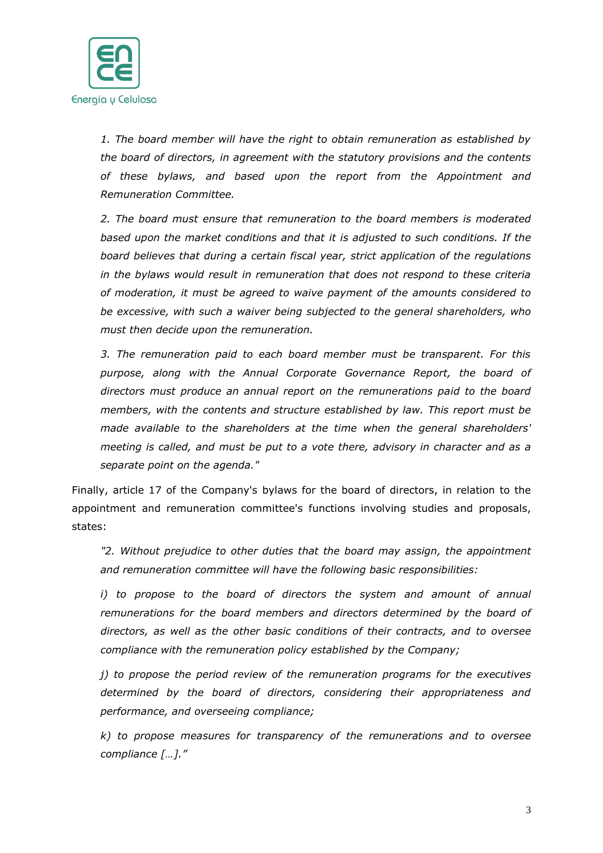

*1. The board member will have the right to obtain remuneration as established by the board of directors, in agreement with the statutory provisions and the contents of these bylaws, and based upon the report from the Appointment and Remuneration Committee.*

*2. The board must ensure that remuneration to the board members is moderated based upon the market conditions and that it is adjusted to such conditions. If the board believes that during a certain fiscal year, strict application of the regulations in the bylaws would result in remuneration that does not respond to these criteria of moderation, it must be agreed to waive payment of the amounts considered to be excessive, with such a waiver being subjected to the general shareholders, who must then decide upon the remuneration.*

*3. The remuneration paid to each board member must be transparent. For this*  purpose, along with the Annual Corporate Governance Report, the board of *directors must produce an annual report on the remunerations paid to the board members, with the contents and structure established by law. This report must be made available to the shareholders at the time when the general shareholders' meeting is called, and must be put to a vote there, advisory in character and as a separate point on the agenda."*

Finally, article 17 of the Company's bylaws for the board of directors, in relation to the appointment and remuneration committee's functions involving studies and proposals, states:

*"2. Without prejudice to other duties that the board may assign, the appointment and remuneration committee will have the following basic responsibilities:*

*i) to propose to the board of directors the system and amount of annual remunerations for the board members and directors determined by the board of directors, as well as the other basic conditions of their contracts, and to oversee compliance with the remuneration policy established by the Company;*

*j) to propose the period review of the remuneration programs for the executives determined by the board of directors, considering their appropriateness and performance, and overseeing compliance;*

*k) to propose measures for transparency of the remunerations and to oversee compliance […]."*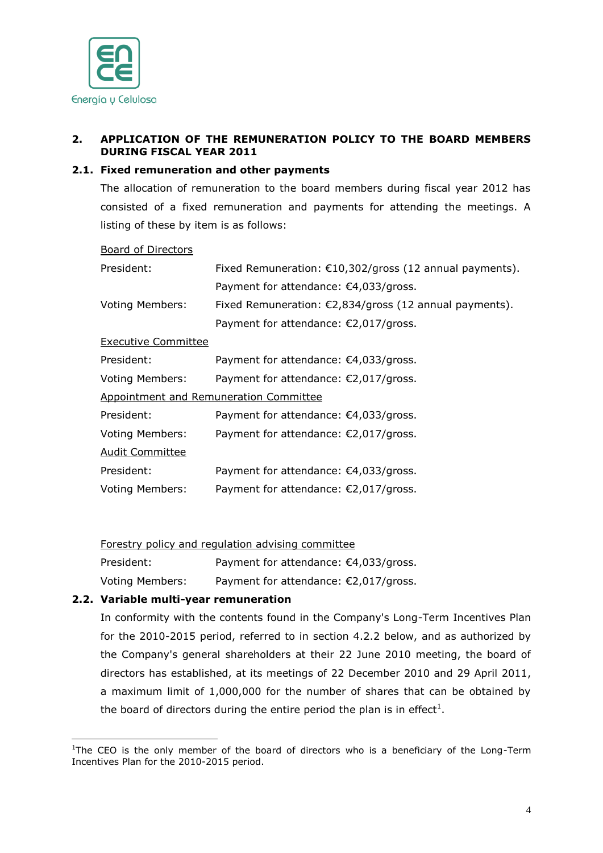

# **2. APPLICATION OF THE REMUNERATION POLICY TO THE BOARD MEMBERS DURING FISCAL YEAR 2011**

#### **2.1. Fixed remuneration and other payments**

The allocation of remuneration to the board members during fiscal year 2012 has consisted of a fixed remuneration and payments for attending the meetings. A listing of these by item is as follows:

#### Board of Directors

| President:                                    | Fixed Remuneration: €10,302/gross (12 annual payments). |  |  |  |
|-----------------------------------------------|---------------------------------------------------------|--|--|--|
|                                               | Payment for attendance: €4,033/gross.                   |  |  |  |
| <b>Voting Members:</b>                        | Fixed Remuneration: €2,834/gross (12 annual payments).  |  |  |  |
|                                               | Payment for attendance: €2,017/gross.                   |  |  |  |
| <b>Executive Committee</b>                    |                                                         |  |  |  |
| President:                                    | Payment for attendance: €4,033/gross.                   |  |  |  |
| <b>Voting Members:</b>                        | Payment for attendance: €2,017/gross.                   |  |  |  |
| <b>Appointment and Remuneration Committee</b> |                                                         |  |  |  |
| President:                                    | Payment for attendance: €4,033/gross.                   |  |  |  |
| <b>Voting Members:</b>                        | Payment for attendance: €2,017/gross.                   |  |  |  |
| <b>Audit Committee</b>                        |                                                         |  |  |  |
| President:                                    | Payment for attendance: €4,033/gross.                   |  |  |  |
| <b>Voting Members:</b>                        | Payment for attendance: €2,017/gross.                   |  |  |  |

Forestry policy and regulation advising committee

President: Payment for attendance: €4,033/gross.

Voting Members: Payment for attendance: €2,017/gross.

## **2.2. Variable multi-year remuneration**

 $\overline{a}$ 

In conformity with the contents found in the Company's Long-Term Incentives Plan for the 2010-2015 period, referred to in section 4.2.2 below, and as authorized by the Company's general shareholders at their 22 June 2010 meeting, the board of directors has established, at its meetings of 22 December 2010 and 29 April 2011, a maximum limit of 1,000,000 for the number of shares that can be obtained by the board of directors during the entire period the plan is in effect<sup>1</sup>.

<sup>&</sup>lt;sup>1</sup>The CEO is the only member of the board of directors who is a beneficiary of the Long-Term Incentives Plan for the 2010-2015 period.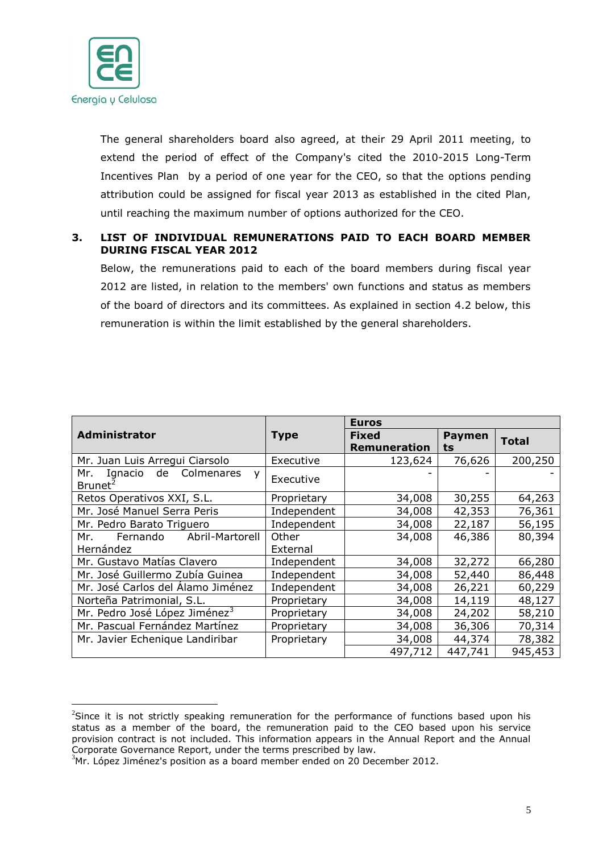

The general shareholders board also agreed, at their 29 April 2011 meeting, to extend the period of effect of the Company's cited the 2010-2015 Long-Term Incentives Plan by a period of one year for the CEO, so that the options pending attribution could be assigned for fiscal year 2013 as established in the cited Plan, until reaching the maximum number of options authorized for the CEO.

## **3. LIST OF INDIVIDUAL REMUNERATIONS PAID TO EACH BOARD MEMBER DURING FISCAL YEAR 2012**

Below, the remunerations paid to each of the board members during fiscal year 2012 are listed, in relation to the members' own functions and status as members of the board of directors and its committees. As explained in section 4.2 below, this remuneration is within the limit established by the general shareholders.

|                                                               |             | <b>Euros</b>                        |                     |              |
|---------------------------------------------------------------|-------------|-------------------------------------|---------------------|--------------|
| Administrator                                                 | <b>Type</b> | <b>Fixed</b><br><b>Remuneration</b> | <b>Paymen</b><br>ts | <b>Total</b> |
| Mr. Juan Luis Arregui Ciarsolo                                | Executive   | 123,624                             | 76,626              | 200,250      |
| Ignacio de<br>Colmenares<br>Mr. I<br>y<br>Brunet <sup>2</sup> | Executive   |                                     |                     |              |
| Retos Operativos XXI, S.L.                                    | Proprietary | 34,008                              | 30,255              | 64,263       |
| Mr. José Manuel Serra Peris                                   | Independent | 34,008                              | 42,353              | 76,361       |
| Mr. Pedro Barato Triguero                                     | Independent | 34,008                              | 22,187              | 56,195       |
| Fernando<br>Abril-Martorell<br>Mr.                            | Other       | 34,008                              | 46,386              | 80,394       |
| Hernández                                                     | External    |                                     |                     |              |
| Mr. Gustavo Matías Clavero                                    | Independent | 34,008                              | 32,272              | 66,280       |
| Mr. José Guillermo Zubía Guinea                               | Independent | 34,008                              | 52,440              | 86,448       |
| Mr. José Carlos del Álamo Jiménez                             | Independent | 34,008                              | 26,221              | 60,229       |
| Norteña Patrimonial, S.L.                                     | Proprietary | 34,008                              | 14,119              | 48,127       |
| Mr. Pedro José López Jiménez <sup>3</sup>                     | Proprietary | 34,008                              | 24,202              | 58,210       |
| Mr. Pascual Fernández Martínez                                | Proprietary | 34,008                              | 36,306              | 70,314       |
| Mr. Javier Echenique Landiribar                               | Proprietary | 34,008                              | 44,374              | 78,382       |
|                                                               |             | 497,712                             | 447,741             | 945,453      |

 $\overline{a}$  $2$ Since it is not strictly speaking remuneration for the performance of functions based upon his status as a member of the board, the remuneration paid to the CEO based upon his service provision contract is not included. This information appears in the Annual Report and the Annual Corporate Governance Report, under the terms prescribed by law.

 $3$ Mr. López Jiménez's position as a board member ended on 20 December 2012.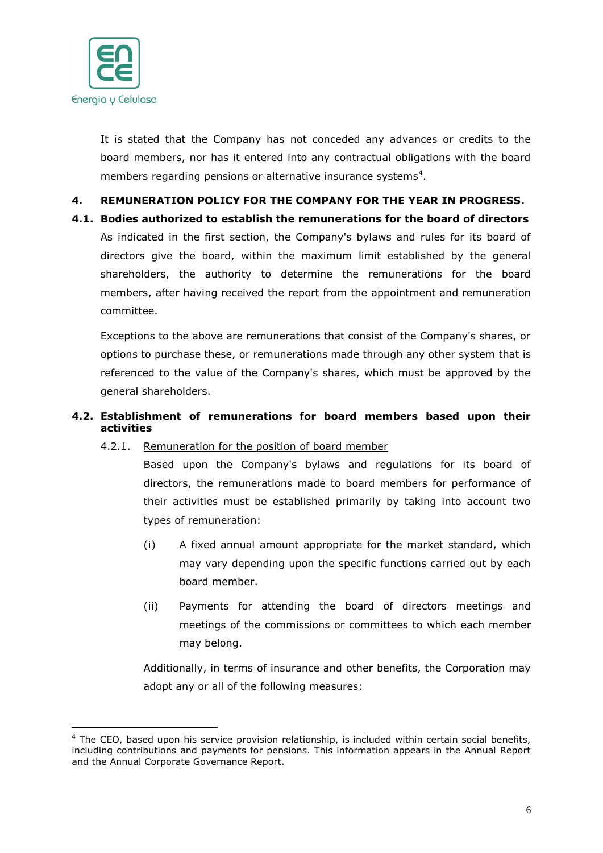

 $\overline{a}$ 

It is stated that the Company has not conceded any advances or credits to the board members, nor has it entered into any contractual obligations with the board members regarding pensions or alternative insurance systems<sup>4</sup>.

# **4. REMUNERATION POLICY FOR THE COMPANY FOR THE YEAR IN PROGRESS.**

**4.1. Bodies authorized to establish the remunerations for the board of directors** As indicated in the first section, the Company's bylaws and rules for its board of directors give the board, within the maximum limit established by the general shareholders, the authority to determine the remunerations for the board members, after having received the report from the appointment and remuneration committee.

Exceptions to the above are remunerations that consist of the Company's shares, or options to purchase these, or remunerations made through any other system that is referenced to the value of the Company's shares, which must be approved by the general shareholders.

# **4.2. Establishment of remunerations for board members based upon their activities**

4.2.1. Remuneration for the position of board member

Based upon the Company's bylaws and regulations for its board of directors, the remunerations made to board members for performance of their activities must be established primarily by taking into account two types of remuneration:

- (i) A fixed annual amount appropriate for the market standard, which may vary depending upon the specific functions carried out by each board member.
- (ii) Payments for attending the board of directors meetings and meetings of the commissions or committees to which each member may belong.

Additionally, in terms of insurance and other benefits, the Corporation may adopt any or all of the following measures:

 $<sup>4</sup>$  The CEO, based upon his service provision relationship, is included within certain social benefits,</sup> including contributions and payments for pensions. This information appears in the Annual Report and the Annual Corporate Governance Report.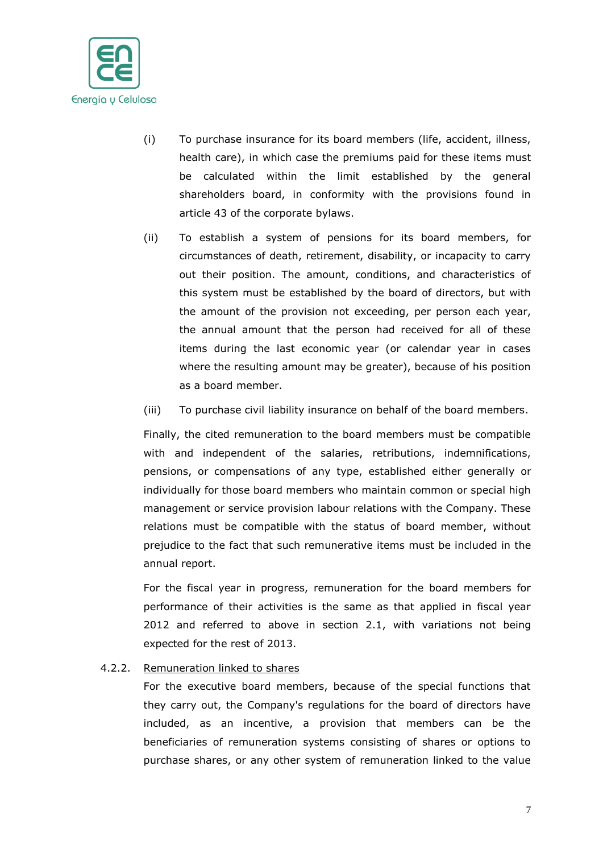

- (i) To purchase insurance for its board members (life, accident, illness, health care), in which case the premiums paid for these items must be calculated within the limit established by the general shareholders board, in conformity with the provisions found in article 43 of the corporate bylaws.
- (ii) To establish a system of pensions for its board members, for circumstances of death, retirement, disability, or incapacity to carry out their position. The amount, conditions, and characteristics of this system must be established by the board of directors, but with the amount of the provision not exceeding, per person each year, the annual amount that the person had received for all of these items during the last economic year (or calendar year in cases where the resulting amount may be greater), because of his position as a board member.
- (iii) To purchase civil liability insurance on behalf of the board members.

Finally, the cited remuneration to the board members must be compatible with and independent of the salaries, retributions, indemnifications, pensions, or compensations of any type, established either generally or individually for those board members who maintain common or special high management or service provision labour relations with the Company. These relations must be compatible with the status of board member, without prejudice to the fact that such remunerative items must be included in the annual report.

For the fiscal year in progress, remuneration for the board members for performance of their activities is the same as that applied in fiscal year 2012 and referred to above in section 2.1, with variations not being expected for the rest of 2013.

## 4.2.2. Remuneration linked to shares

For the executive board members, because of the special functions that they carry out, the Company's regulations for the board of directors have included, as an incentive, a provision that members can be the beneficiaries of remuneration systems consisting of shares or options to purchase shares, or any other system of remuneration linked to the value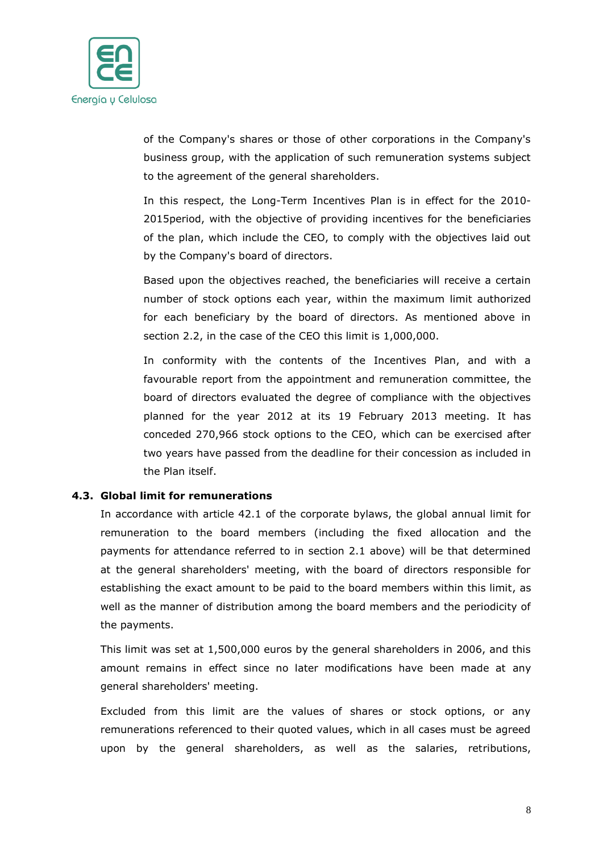

of the Company's shares or those of other corporations in the Company's business group, with the application of such remuneration systems subject to the agreement of the general shareholders.

In this respect, the Long-Term Incentives Plan is in effect for the 2010- 2015period, with the objective of providing incentives for the beneficiaries of the plan, which include the CEO, to comply with the objectives laid out by the Company's board of directors.

Based upon the objectives reached, the beneficiaries will receive a certain number of stock options each year, within the maximum limit authorized for each beneficiary by the board of directors. As mentioned above in section 2.2, in the case of the CEO this limit is 1,000,000.

In conformity with the contents of the Incentives Plan, and with a favourable report from the appointment and remuneration committee, the board of directors evaluated the degree of compliance with the objectives planned for the year 2012 at its 19 February 2013 meeting. It has conceded 270,966 stock options to the CEO, which can be exercised after two years have passed from the deadline for their concession as included in the Plan itself.

#### **4.3. Global limit for remunerations**

In accordance with article 42.1 of the corporate bylaws, the global annual limit for remuneration to the board members (including the fixed allocation and the payments for attendance referred to in section 2.1 above) will be that determined at the general shareholders' meeting, with the board of directors responsible for establishing the exact amount to be paid to the board members within this limit, as well as the manner of distribution among the board members and the periodicity of the payments.

This limit was set at 1,500,000 euros by the general shareholders in 2006, and this amount remains in effect since no later modifications have been made at any general shareholders' meeting.

Excluded from this limit are the values of shares or stock options, or any remunerations referenced to their quoted values, which in all cases must be agreed upon by the general shareholders, as well as the salaries, retributions,